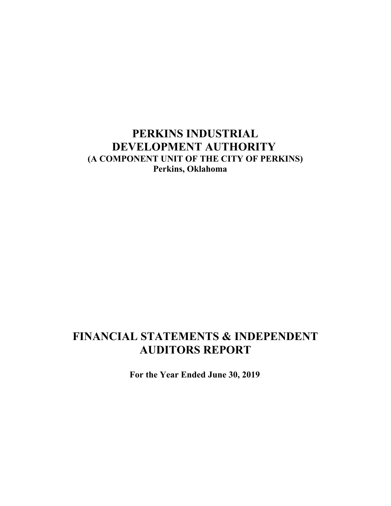### **PERKINS INDUSTRIAL DEVELOPMENT AUTHORITY (A COMPONENT UNIT OF THE CITY OF PERKINS) Perkins, Oklahoma**

## **FINANCIAL STATEMENTS & INDEPENDENT AUDITORS REPORT**

**For the Year Ended June 30, 2019**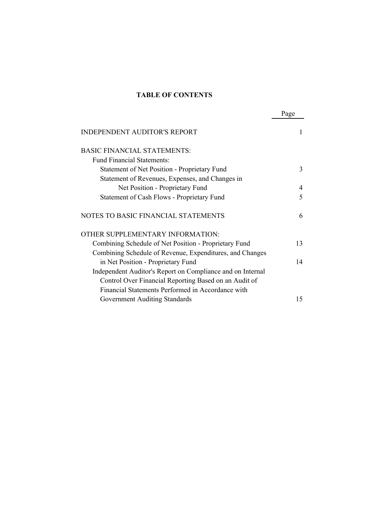#### **TABLE OF CONTENTS**

|                                                            | Page |
|------------------------------------------------------------|------|
| <b>INDEPENDENT AUDITOR'S REPORT</b>                        | 1    |
| <b>BASIC FINANCIAL STATEMENTS:</b>                         |      |
| <b>Fund Financial Statements:</b>                          |      |
| <b>Statement of Net Position - Proprietary Fund</b>        | 3    |
| Statement of Revenues, Expenses, and Changes in            |      |
| Net Position - Proprietary Fund                            | 4    |
| Statement of Cash Flows - Proprietary Fund                 | 5    |
| NOTES TO BASIC FINANCIAL STATEMENTS                        | 6    |
| OTHER SUPPLEMENTARY INFORMATION:                           |      |
| Combining Schedule of Net Position - Proprietary Fund      | 13   |
| Combining Schedule of Revenue, Expenditures, and Changes   |      |
| in Net Position - Proprietary Fund                         | 14   |
| Independent Auditor's Report on Compliance and on Internal |      |
| Control Over Financial Reporting Based on an Audit of      |      |
| Financial Statements Performed in Accordance with          |      |
| Government Auditing Standards                              | 15   |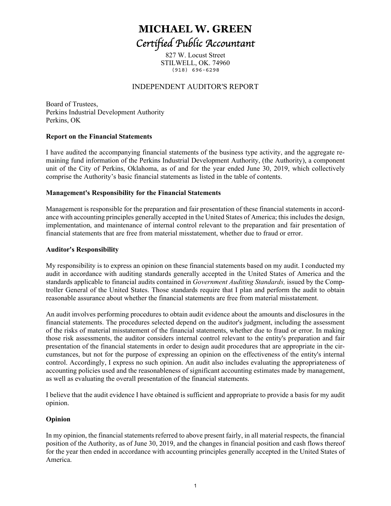# **MICHAEL W. GREEN** Certified Public Accountant

827 W. Locust Street STILWELL, OK. 74960 (918) 696-6298

#### INDEPENDENT AUDITOR'S REPORT

Board of Trustees, Perkins Industrial Development Authority Perkins, OK

#### **Report on the Financial Statements**

I have audited the accompanying financial statements of the business type activity, and the aggregate remaining fund information of the Perkins Industrial Development Authority, (the Authority), a component unit of the City of Perkins, Oklahoma, as of and for the year ended June 30, 2019, which collectively comprise the Authority's basic financial statements as listed in the table of contents.

#### **Management's Responsibility for the Financial Statements**

Management is responsible for the preparation and fair presentation of these financial statements in accordance with accounting principles generally accepted in the United States of America; this includes the design, implementation, and maintenance of internal control relevant to the preparation and fair presentation of financial statements that are free from material misstatement, whether due to fraud or error.

#### **Auditor's Responsibility**

My responsibility is to express an opinion on these financial statements based on my audit. I conducted my audit in accordance with auditing standards generally accepted in the United States of America and the standards applicable to financial audits contained in *Government Auditing Standards,* issued by the Comptroller General of the United States. Those standards require that I plan and perform the audit to obtain reasonable assurance about whether the financial statements are free from material misstatement.

An audit involves performing procedures to obtain audit evidence about the amounts and disclosures in the financial statements. The procedures selected depend on the auditor's judgment, including the assessment of the risks of material misstatement of the financial statements, whether due to fraud or error. In making those risk assessments, the auditor considers internal control relevant to the entity's preparation and fair presentation of the financial statements in order to design audit procedures that are appropriate in the circumstances, but not for the purpose of expressing an opinion on the effectiveness of the entity's internal control. Accordingly, I express no such opinion. An audit also includes evaluating the appropriateness of accounting policies used and the reasonableness of significant accounting estimates made by management, as well as evaluating the overall presentation of the financial statements.

I believe that the audit evidence I have obtained is sufficient and appropriate to provide a basis for my audit opinion.

#### **Opinion**

In my opinion, the financial statements referred to above present fairly, in all material respects, the financial position of the Authority, as of June 30, 2019, and the changes in financial position and cash flows thereof for the year then ended in accordance with accounting principles generally accepted in the United States of America.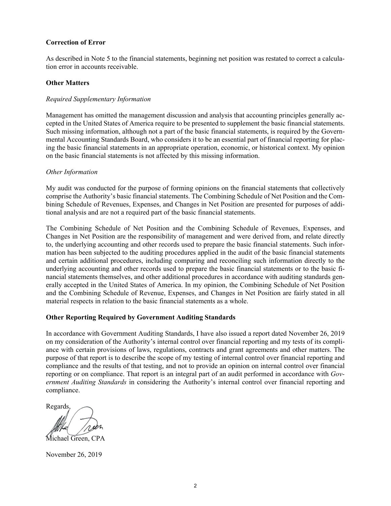#### **Correction of Error**

As described in Note 5 to the financial statements, beginning net position was restated to correct a calculation error in accounts receivable.

#### **Other Matters**

#### *Required Supplementary Information*

Management has omitted the management discussion and analysis that accounting principles generally accepted in the United States of America require to be presented to supplement the basic financial statements. Such missing information, although not a part of the basic financial statements, is required by the Governmental Accounting Standards Board, who considers it to be an essential part of financial reporting for placing the basic financial statements in an appropriate operation, economic, or historical context. My opinion on the basic financial statements is not affected by this missing information.

#### *Other Information*

My audit was conducted for the purpose of forming opinions on the financial statements that collectively comprise the Authority's basic financial statements. The Combining Schedule of Net Position and the Combining Schedule of Revenues, Expenses, and Changes in Net Position are presented for purposes of additional analysis and are not a required part of the basic financial statements.

The Combining Schedule of Net Position and the Combining Schedule of Revenues, Expenses, and Changes in Net Position are the responsibility of management and were derived from, and relate directly to, the underlying accounting and other records used to prepare the basic financial statements. Such information has been subjected to the auditing procedures applied in the audit of the basic financial statements and certain additional procedures, including comparing and reconciling such information directly to the underlying accounting and other records used to prepare the basic financial statements or to the basic financial statements themselves, and other additional procedures in accordance with auditing standards generally accepted in the United States of America. In my opinion, the Combining Schedule of Net Position and the Combining Schedule of Revenue, Expenses, and Changes in Net Position are fairly stated in all material respects in relation to the basic financial statements as a whole.

#### **Other Reporting Required by Government Auditing Standards**

In accordance with Government Auditing Standards, I have also issued a report dated November 26, 2019 on my consideration of the Authority's internal control over financial reporting and my tests of its compliance with certain provisions of laws, regulations, contracts and grant agreements and other matters. The purpose of that report is to describe the scope of my testing of internal control over financial reporting and compliance and the results of that testing, and not to provide an opinion on internal control over financial reporting or on compliance. That report is an integral part of an audit performed in accordance with *Government Auditing Standards* in considering the Authority's internal control over financial reporting and compliance.

Regards,

Michael Green, CPA

November 26, 2019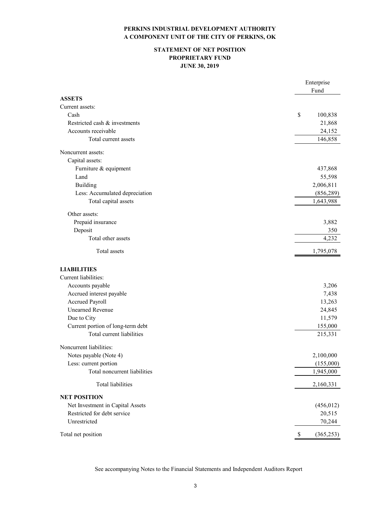#### **PERKINS INDUSTRIAL DEVELOPMENT AUTHORITY A COMPONENT UNIT OF THE CITY OF PERKINS, OK**

#### **STATEMENT OF NET POSITION JUNE 30, 2019 PROPRIETARY FUND**

|                                   | Enterprise       |
|-----------------------------------|------------------|
|                                   | Fund             |
| <b>ASSETS</b>                     |                  |
| Current assets:                   |                  |
| Cash                              | \$<br>100,838    |
| Restricted cash & investments     | 21,868           |
| Accounts receivable               | 24,152           |
| Total current assets              | 146,858          |
| Noncurrent assets:                |                  |
| Capital assets:                   |                  |
| Furniture & equipment             | 437,868          |
| Land                              | 55,598           |
| Building                          | 2,006,811        |
| Less: Accumulated depreciation    | (856, 289)       |
| Total capital assets              | 1,643,988        |
| Other assets:                     |                  |
| Prepaid insurance                 | 3,882            |
| Deposit                           | 350              |
| Total other assets                | 4,232            |
| Total assets                      | 1,795,078        |
| <b>LIABILITIES</b>                |                  |
| Current liabilities:              |                  |
| Accounts payable                  | 3,206            |
| Accrued interest payable          | 7,438            |
| <b>Accrued Payroll</b>            | 13,263           |
| <b>Unearned Revenue</b>           | 24,845           |
| Due to City                       | 11,579           |
| Current portion of long-term debt | 155,000          |
| Total current liabilities         | 215,331          |
| Noncurrent liabilities:           |                  |
| Notes payable (Note 4)            | 2,100,000        |
| Less: current portion             | (155,000)        |
| Total noncurrent liabilities      | 1,945,000        |
| <b>Total liabilities</b>          | 2,160,331        |
| <b>NET POSITION</b>               |                  |
| Net Investment in Capital Assets  | (456, 012)       |
| Restricted for debt service       | 20,515           |
| Unrestricted                      | 70,244           |
| Total net position                | \$<br>(365, 253) |

See accompanying Notes to the Financial Statements and Independent Auditors Report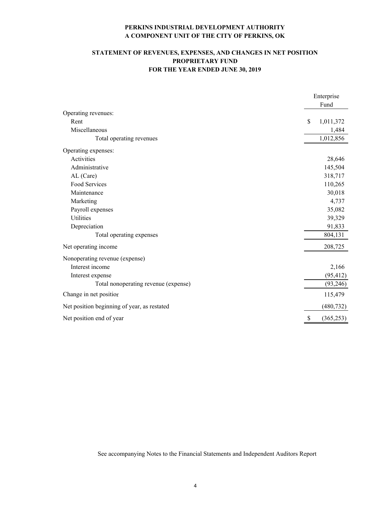#### **PERKINS INDUSTRIAL DEVELOPMENT AUTHORITY A COMPONENT UNIT OF THE CITY OF PERKINS, OK**

#### **STATEMENT OF REVENUES, EXPENSES, AND CHANGES IN NET POSITION FOR THE YEAR ENDED JUNE 30, 2019 PROPRIETARY FUND**

|                                             | Enterprise       |
|---------------------------------------------|------------------|
|                                             | Fund             |
| Operating revenues:                         |                  |
| Rent                                        | \$<br>1,011,372  |
| Miscellaneous                               | 1,484            |
| Total operating revenues                    | 1,012,856        |
| Operating expenses:                         |                  |
| Activities                                  | 28,646           |
| Administrative                              | 145,504          |
| AL (Care)                                   | 318,717          |
| Food Services                               | 110,265          |
| Maintenance                                 | 30,018           |
| Marketing                                   | 4,737            |
| Payroll expenses                            | 35,082           |
| Utilities                                   | 39,329           |
| Depreciation                                | 91,833           |
| Total operating expenses                    | 804,131          |
| Net operating income                        | 208,725          |
| Nonoperating revenue (expense)              |                  |
| Interest income                             | 2,166            |
| Interest expense                            | (95, 412)        |
| Total nonoperating revenue (expense)        | (93, 246)        |
| Change in net position                      | 115,479          |
| Net position beginning of year, as restated | (480, 732)       |
| Net position end of year                    | \$<br>(365, 253) |

See accompanying Notes to the Financial Statements and Independent Auditors Report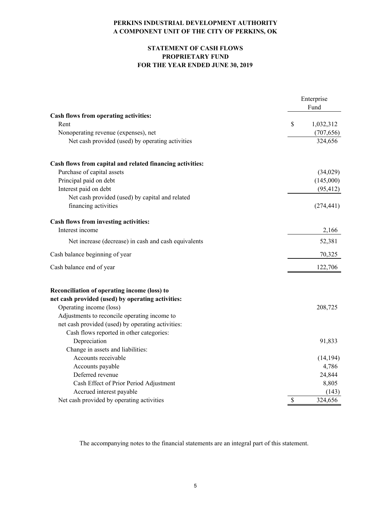#### **PERKINS INDUSTRIAL DEVELOPMENT AUTHORITY A COMPONENT UNIT OF THE CITY OF PERKINS, OK**

#### **STATEMENT OF CASH FLOWS FOR THE YEAR ENDED JUNE 30, 2019 PROPRIETARY FUND**

|                                                                                                   | Enterprise      |
|---------------------------------------------------------------------------------------------------|-----------------|
|                                                                                                   | Fund            |
| Cash flows from operating activities:                                                             |                 |
| Rent                                                                                              | \$<br>1,032,312 |
| Nonoperating revenue (expenses), net                                                              | (707, 656)      |
| Net cash provided (used) by operating activities                                                  | 324,656         |
| Cash flows from capital and related financing activities:                                         |                 |
| Purchase of capital assets                                                                        | (34,029)        |
| Principal paid on debt                                                                            | (145,000)       |
| Interest paid on debt                                                                             | (95, 412)       |
| Net cash provided (used) by capital and related                                                   |                 |
| financing activities                                                                              | (274, 441)      |
| Cash flows from investing activities:<br>Interest income                                          | 2,166           |
|                                                                                                   |                 |
| Net increase (decrease) in cash and cash equivalents                                              | 52,381          |
| Cash balance beginning of year                                                                    | 70,325          |
| Cash balance end of year                                                                          | 122,706         |
| Reconciliation of operating income (loss) to<br>net cash provided (used) by operating activities: |                 |
| Operating income (loss)                                                                           | 208,725         |
| Adjustments to reconcile operating income to                                                      |                 |
| net cash provided (used) by operating activities:                                                 |                 |
| Cash flows reported in other categories:                                                          |                 |
| Depreciation                                                                                      | 91,833          |
| Change in assets and liabilities:                                                                 |                 |
| Accounts receivable                                                                               | (14, 194)       |
| Accounts payable                                                                                  | 4,786           |
| Deferred revenue                                                                                  | 24,844          |
| Cash Effect of Prior Period Adjustment                                                            | 8,805           |
| Accrued interest payable                                                                          | (143)           |
| Net cash provided by operating activities                                                         | \$<br>324,656   |

The accompanying notes to the financial statements are an integral part of this statement.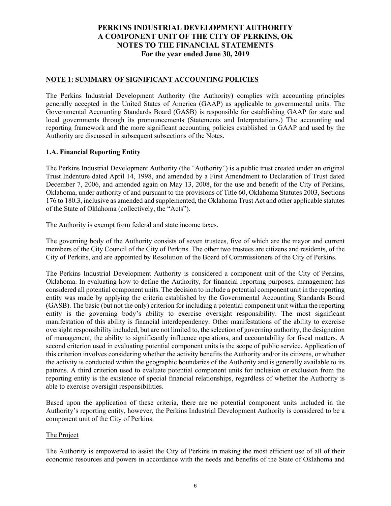#### **PERKINS INDUSTRIAL DEVELOPMENT AUTHORITY A COMPONENT UNIT OF THE CITY OF PERKINS, OK NOTES TO THE FINANCIAL STATEMENTS For the year ended June 30, 2019**

#### **NOTE 1: SUMMARY OF SIGNIFICANT ACCOUNTING POLICIES**

The Perkins Industrial Development Authority (the Authority) complies with accounting principles generally accepted in the United States of America (GAAP) as applicable to governmental units. The Governmental Accounting Standards Board (GASB) is responsible for establishing GAAP for state and local governments through its pronouncements (Statements and Interpretations.) The accounting and reporting framework and the more significant accounting policies established in GAAP and used by the Authority are discussed in subsequent subsections of the Notes.

#### **1.A. Financial Reporting Entity**

The Perkins Industrial Development Authority (the "Authority") is a public trust created under an original Trust Indenture dated April 14, 1998, and amended by a First Amendment to Declaration of Trust dated December 7, 2006, and amended again on May 13, 2008, for the use and benefit of the City of Perkins, Oklahoma, under authority of and pursuant to the provisions of Title 60, Oklahoma Statutes 2003, Sections 176 to 180.3, inclusive as amended and supplemented, the Oklahoma Trust Act and other applicable statutes of the State of Oklahoma (collectively, the "Acts").

The Authority is exempt from federal and state income taxes.

The governing body of the Authority consists of seven trustees, five of which are the mayor and current members of the City Council of the City of Perkins. The other two trustees are citizens and residents, of the City of Perkins, and are appointed by Resolution of the Board of Commissioners of the City of Perkins.

The Perkins Industrial Development Authority is considered a component unit of the City of Perkins, Oklahoma. In evaluating how to define the Authority, for financial reporting purposes, management has considered all potential component units. The decision to include a potential component unit in the reporting entity was made by applying the criteria established by the Governmental Accounting Standards Board (GASB). The basic (but not the only) criterion for including a potential component unit within the reporting entity is the governing body's ability to exercise oversight responsibility. The most significant manifestation of this ability is financial interdependency. Other manifestations of the ability to exercise oversight responsibility included, but are not limited to, the selection of governing authority, the designation of management, the ability to significantly influence operations, and accountability for fiscal matters. A second criterion used in evaluating potential component units is the scope of public service. Application of this criterion involves considering whether the activity benefits the Authority and/or its citizens, or whether the activity is conducted within the geographic boundaries of the Authority and is generally available to its patrons. A third criterion used to evaluate potential component units for inclusion or exclusion from the reporting entity is the existence of special financial relationships, regardless of whether the Authority is able to exercise oversight responsibilities.

Based upon the application of these criteria, there are no potential component units included in the Authority's reporting entity, however, the Perkins Industrial Development Authority is considered to be a component unit of the City of Perkins.

#### The Project

The Authority is empowered to assist the City of Perkins in making the most efficient use of all of their economic resources and powers in accordance with the needs and benefits of the State of Oklahoma and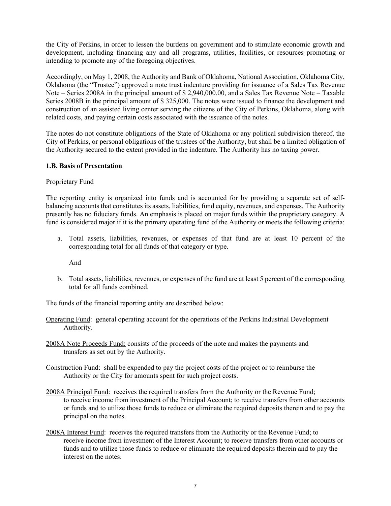the City of Perkins, in order to lessen the burdens on government and to stimulate economic growth and development, including financing any and all programs, utilities, facilities, or resources promoting or intending to promote any of the foregoing objectives.

Accordingly, on May 1, 2008, the Authority and Bank of Oklahoma, National Association, Oklahoma City, Oklahoma (the "Trustee") approved a note trust indenture providing for issuance of a Sales Tax Revenue Note – Series 2008A in the principal amount of \$ 2,940,000.00, and a Sales Tax Revenue Note – Taxable Series 2008B in the principal amount of \$ 325,000. The notes were issued to finance the development and construction of an assisted living center serving the citizens of the City of Perkins, Oklahoma, along with related costs, and paying certain costs associated with the issuance of the notes.

The notes do not constitute obligations of the State of Oklahoma or any political subdivision thereof, the City of Perkins, or personal obligations of the trustees of the Authority, but shall be a limited obligation of the Authority secured to the extent provided in the indenture. The Authority has no taxing power.

#### **1.B. Basis of Presentation**

#### Proprietary Fund

The reporting entity is organized into funds and is accounted for by providing a separate set of selfbalancing accounts that constitutes its assets, liabilities, fund equity, revenues, and expenses. The Authority presently has no fiduciary funds. An emphasis is placed on major funds within the proprietary category. A fund is considered major if it is the primary operating fund of the Authority or meets the following criteria:

a. Total assets, liabilities, revenues, or expenses of that fund are at least 10 percent of the corresponding total for all funds of that category or type.

And

b. Total assets, liabilities, revenues, or expenses of the fund are at least 5 percent of the corresponding total for all funds combined.

The funds of the financial reporting entity are described below:

- Operating Fund: general operating account for the operations of the Perkins Industrial Development Authority.
- 2008A Note Proceeds Fund: consists of the proceeds of the note and makes the payments and transfers as set out by the Authority.
- Construction Fund: shall be expended to pay the project costs of the project or to reimburse the Authority or the City for amounts spent for such project costs.
- 2008A Principal Fund: receives the required transfers from the Authority or the Revenue Fund; to receive income from investment of the Principal Account; to receive transfers from other accounts or funds and to utilize those funds to reduce or eliminate the required deposits therein and to pay the principal on the notes.
- 2008A Interest Fund: receives the required transfers from the Authority or the Revenue Fund; to receive income from investment of the Interest Account; to receive transfers from other accounts or funds and to utilize those funds to reduce or eliminate the required deposits therein and to pay the interest on the notes.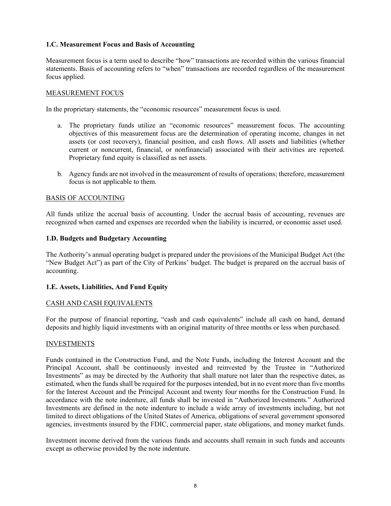#### **1.C. Measurement Focus and Basis of Accounting**

Measurement focus is a term used to describe "how" transactions are recorded within the various financial statements. Basis of accounting refers to "when" transactions are recorded regardless of the measurement focus applied.

#### MEASUREMENT FOCUS

In the proprietary statements, the "economic resources" measurement focus is used.

- a. The proprietary funds utilize an "economic resources" measurement focus. The accounting objectives of this measurement focus are the determination of operating income, changes in net assets (or cost recovery), financial position, and cash flows. All assets and liabilities (whether current or noncurrent, financial, or nonfinancial) associated with their activities are reported. Proprietary fund equity is classified as net assets.
- b. Agency funds are not involved in the measurement of results of operations; therefore, measurement focus is not applicable to them.

#### BASIS OF ACCOUNTING

All funds utilize the accrual basis of accounting. Under the accrual basis of accounting, revenues are recognized when earned and expenses are recorded when the liability is incurred, or economic asset used.

#### **1.D. Budgets and Budgetary Accounting**

The Authority's annual operating budget is prepared under the provisions of the Municipal Budget Act (the "New Budget Act") as part of the City of Perkins' budget. The budget is prepared on the accrual basis of accounting.

#### **1.E. Assets, Liabilities, And Fund Equity**

#### CASH AND CASH EQUIVALENTS

For the purpose of financial reporting, "cash and cash equivalents" include all cash on hand, demand deposits and highly liquid investments with an original maturity of three months or less when purchased.

#### INVESTMENTS

Funds contained in the Construction Fund, and the Note Funds, including the Interest Account and the Principal Account, shall be continuously invested and reinvested by the Trustee in "Authorized Investments" as may be directed by the Authority that shall mature not later than the respective dates, as estimated, when the funds shall be required for the purposes intended, but in no event more than five months for the Interest Account and the Principal Account and twenty four months for the Construction Fund. In accordance with the note indenture, all funds shall be invested in "Authorized Investments." Authorized Investments are defined in the note indenture to include a wide array of investments including, but not limited to direct obligations of the United States of America, obligations of several government sponsored agencies, investments insured by the FDIC, commercial paper, state obligations, and money market funds.

Investment income derived from the various funds and accounts shall remain in such funds and accounts except as otherwise provided by the note indenture.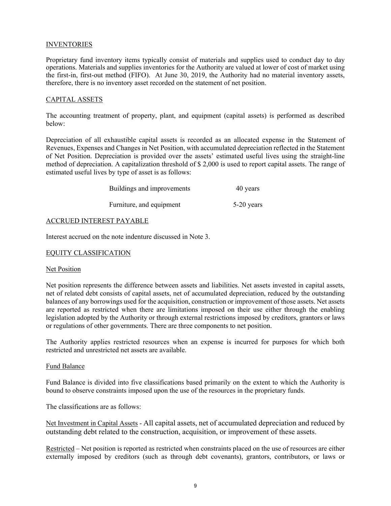#### **INVENTORIES**

Proprietary fund inventory items typically consist of materials and supplies used to conduct day to day operations. Materials and supplies inventories for the Authority are valued at lower of cost of market using the first-in, first-out method (FIFO). At June 30, 2019, the Authority had no material inventory assets, therefore, there is no inventory asset recorded on the statement of net position.

#### CAPITAL ASSETS

The accounting treatment of property, plant, and equipment (capital assets) is performed as described below:

Depreciation of all exhaustible capital assets is recorded as an allocated expense in the Statement of Revenues, Expenses and Changes in Net Position, with accumulated depreciation reflected in the Statement of Net Position. Depreciation is provided over the assets' estimated useful lives using the straight-line method of depreciation. A capitalization threshold of \$ 2,000 is used to report capital assets. The range of estimated useful lives by type of asset is as follows:

| Buildings and improvements | 40 years     |
|----------------------------|--------------|
| Furniture, and equipment   | $5-20$ years |

#### ACCRUED INTEREST PAYABLE

Interest accrued on the note indenture discussed in Note 3.

#### EQUITY CLASSIFICATION

#### Net Position

Net position represents the difference between assets and liabilities. Net assets invested in capital assets, net of related debt consists of capital assets, net of accumulated depreciation, reduced by the outstanding balances of any borrowings used for the acquisition, construction or improvement of those assets. Net assets are reported as restricted when there are limitations imposed on their use either through the enabling legislation adopted by the Authority or through external restrictions imposed by creditors, grantors or laws or regulations of other governments. There are three components to net position.

The Authority applies restricted resources when an expense is incurred for purposes for which both restricted and unrestricted net assets are available.

#### Fund Balance

Fund Balance is divided into five classifications based primarily on the extent to which the Authority is bound to observe constraints imposed upon the use of the resources in the proprietary funds.

The classifications are as follows:

Net Investment in Capital Assets - All capital assets, net of accumulated depreciation and reduced by outstanding debt related to the construction, acquisition, or improvement of these assets.

Restricted – Net position is reported as restricted when constraints placed on the use of resources are either externally imposed by creditors (such as through debt covenants), grantors, contributors, or laws or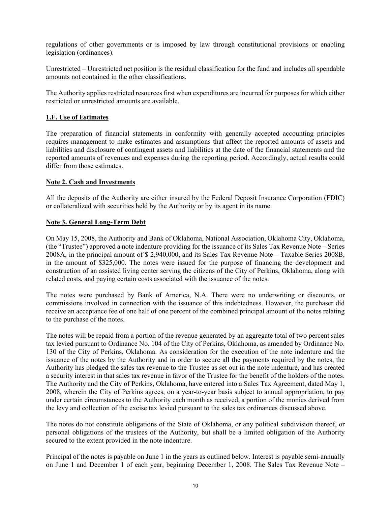regulations of other governments or is imposed by law through constitutional provisions or enabling legislation (ordinances).

Unrestricted – Unrestricted net position is the residual classification for the fund and includes all spendable amounts not contained in the other classifications.

The Authority applies restricted resources first when expenditures are incurred for purposes for which either restricted or unrestricted amounts are available.

#### **1.F. Use of Estimates**

The preparation of financial statements in conformity with generally accepted accounting principles requires management to make estimates and assumptions that affect the reported amounts of assets and liabilities and disclosure of contingent assets and liabilities at the date of the financial statements and the reported amounts of revenues and expenses during the reporting period. Accordingly, actual results could differ from those estimates.

#### **Note 2. Cash and Investments**

All the deposits of the Authority are either insured by the Federal Deposit Insurance Corporation (FDIC) or collateralized with securities held by the Authority or by its agent in its name.

#### **Note 3. General Long-Term Debt**

On May 15, 2008, the Authority and Bank of Oklahoma, National Association, Oklahoma City, Oklahoma, (the "Trustee") approved a note indenture providing for the issuance of its Sales Tax Revenue Note – Series 2008A, in the principal amount of \$ 2,940,000, and its Sales Tax Revenue Note – Taxable Series 2008B, in the amount of \$325,000. The notes were issued for the purpose of financing the development and construction of an assisted living center serving the citizens of the City of Perkins, Oklahoma, along with related costs, and paying certain costs associated with the issuance of the notes.

The notes were purchased by Bank of America, N.A. There were no underwriting or discounts, or commissions involved in connection with the issuance of this indebtedness. However, the purchaser did receive an acceptance fee of one half of one percent of the combined principal amount of the notes relating to the purchase of the notes.

The notes will be repaid from a portion of the revenue generated by an aggregate total of two percent sales tax levied pursuant to Ordinance No. 104 of the City of Perkins, Oklahoma, as amended by Ordinance No. 130 of the City of Perkins, Oklahoma. As consideration for the execution of the note indenture and the issuance of the notes by the Authority and in order to secure all the payments required by the notes, the Authority has pledged the sales tax revenue to the Trustee as set out in the note indenture, and has created a security interest in that sales tax revenue in favor of the Trustee for the benefit of the holders of the notes. The Authority and the City of Perkins, Oklahoma, have entered into a Sales Tax Agreement, dated May 1, 2008, wherein the City of Perkins agrees, on a year-to-year basis subject to annual appropriation, to pay under certain circumstances to the Authority each month as received, a portion of the monies derived from the levy and collection of the excise tax levied pursuant to the sales tax ordinances discussed above.

The notes do not constitute obligations of the State of Oklahoma, or any political subdivision thereof, or personal obligations of the trustees of the Authority, but shall be a limited obligation of the Authority secured to the extent provided in the note indenture.

Principal of the notes is payable on June 1 in the years as outlined below. Interest is payable semi-annually on June 1 and December 1 of each year, beginning December 1, 2008. The Sales Tax Revenue Note –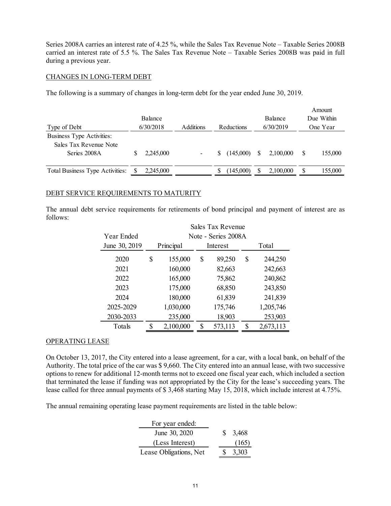Series 2008A carries an interest rate of 4.25 %, while the Sales Tax Revenue Note – Taxable Series 2008B carried an interest rate of 5.5 %. The Sales Tax Revenue Note – Taxable Series 2008B was paid in full during a previous year.

#### CHANGES IN LONG-TERM DEBT

The following is a summary of changes in long-term debt for the year ended June 30, 2019.

| Type of Debt                                                        | Balance<br>6/30/2018 | <b>Additions</b> |   | Reductions |   | Balance<br>6/30/2019 |   | Amount<br>Due Within<br>One Year |
|---------------------------------------------------------------------|----------------------|------------------|---|------------|---|----------------------|---|----------------------------------|
| Business Type Activities:<br>Sales Tax Revenue Note<br>Series 2008A | 2,245,000            |                  | S | (145,000)  | S | 2,100,000            |   | 155,000                          |
| Total Business Type Activities:                                     | 2,245,000            |                  |   | (145,000)  | S | 2,100,000            | S | 155,000                          |

#### DEBT SERVICE REQUIREMENTS TO MATURITY

The annual debt service requirements for retirements of bond principal and payment of interest are as follows:

|               |                 |         | Sales Tax Revenue   |                 |
|---------------|-----------------|---------|---------------------|-----------------|
| Year Ended    |                 |         | Note - Series 2008A |                 |
| June 30, 2019 | Principal       |         | Interest            | Total           |
| 2020          | \$<br>155,000   | \$      | 89,250              | \$<br>244,250   |
| 2021          | 160,000         |         | 82,663              | 242,663         |
| 2022          | 165,000         |         | 75,862              | 240,862         |
| 2023          | 175,000         |         | 68,850              | 243,850         |
| 2024          | 180,000         |         | 61,839              | 241,839         |
| 2025-2029     | 1,030,000       |         | 175,746             | 1,205,746       |
| 2030-2033     | 235,000         | 253,903 |                     |                 |
| Totals        | \$<br>2,100,000 | S       | 573,113             | \$<br>2,673,113 |

#### OPERATING LEASE

On October 13, 2017, the City entered into a lease agreement, for a car, with a local bank, on behalf of the Authority. The total price of the car was \$ 9,660. The City entered into an annual lease, with two successive options to renew for additional 12-month terms not to exceed one fiscal year each, which included a section that terminated the lease if funding was not appropriated by the City for the lease's succeeding years. The lease called for three annual payments of \$ 3,468 starting May 15, 2018, which include interest at 4.75%.

The annual remaining operating lease payment requirements are listed in the table below:

| For year ended:        |  |         |
|------------------------|--|---------|
| June 30, 2020          |  | \$3,468 |
| (Less Interest)        |  | (165)   |
| Lease Obligations, Net |  | 3.303   |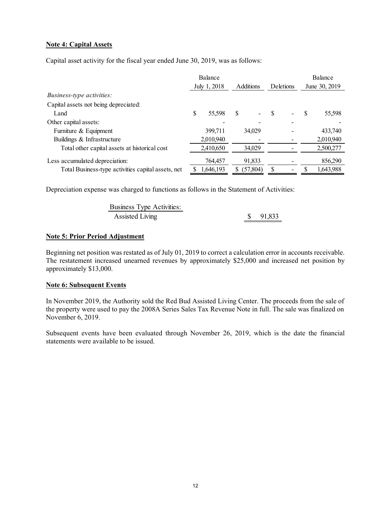#### **Note 4: Capital Assets**

Capital asset activity for the fiscal year ended June 30, 2019, was as follows:

|                                                    | Balance      |                  |           |                  |                          |   | Balance       |
|----------------------------------------------------|--------------|------------------|-----------|------------------|--------------------------|---|---------------|
|                                                    | July 1, 2018 | <b>Additions</b> |           | <b>Deletions</b> |                          |   | June 30, 2019 |
| <i>Business-type activities:</i>                   |              |                  |           |                  |                          |   |               |
| Capital assets not being depreciated:              |              |                  |           |                  |                          |   |               |
| Land                                               | \$<br>55,598 | S                |           | <b>S</b>         | $\overline{\phantom{a}}$ | S | 55,598        |
| Other capital assets:                              |              |                  |           |                  |                          |   |               |
| Furniture & Equipment                              | 399,711      |                  | 34,029    |                  |                          |   | 433,740       |
| Buildings & Infrastructure                         | 2,010,940    |                  |           |                  |                          |   | 2,010,940     |
| Total other capital assets at historical cost      | 2,410,650    |                  | 34,029    |                  |                          |   | 2,500,277     |
| Less accumulated depreciation:                     | 764,457      |                  | 91,833    |                  |                          |   | 856,290       |
| Total Business-type activities capital assets, net | 1,646,193    |                  | (57, 804) | S                |                          |   | 1,643,988     |

Depreciation expense was charged to functions as follows in the Statement of Activities:

| Business Type Activities: |  |        |
|---------------------------|--|--------|
| Assisted Living           |  | 91,833 |

#### **Note 5: Prior Period Adjustment**

Beginning net position was restated as of July 01, 2019 to correct a calculation error in accounts receivable. The restatement increased unearned revenues by approximately \$25,000 and increased net position by approximately \$13,000.

#### **Note 6: Subsequent Events**

In November 2019, the Authority sold the Red Bud Assisted Living Center. The proceeds from the sale of the property were used to pay the 2008A Series Sales Tax Revenue Note in full. The sale was finalized on November 6, 2019.

Subsequent events have been evaluated through November 26, 2019, which is the date the financial statements were available to be issued.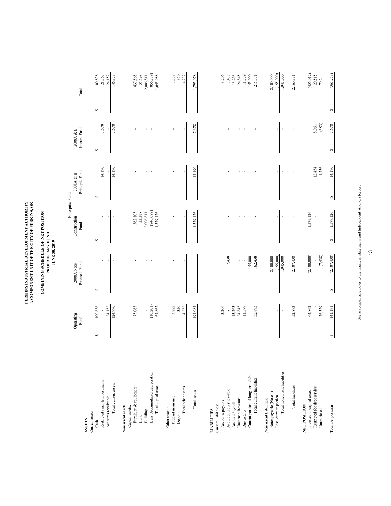PERKINS INDUSTRIAL DEVELOPMENT AUTHORITY<br>A COMPONENT UNIT OF THE CITY OF PERKINS, OK **PERKINS INDUSTRIAL DEVELOPMENT AUTHORITY A COMPONENT UNIT OF THE CITY OF PERKINS, OK**

# COMBINING SCHEDULE OF NET POSITION<br>PROPRIETARY FUND<br>JUNE 30, 2019 **COMBINING SCHEDULE OF NET POSITION PROPRIETARY FUND JUNE 30, 2019**

|                                                                | Operating<br>Fund | Proceeds Fund<br>2008A Note | <b>Enterprise Fund</b><br>Construction<br>Fund | Principle Fund<br>2008A & B | Interest Fund<br>$2008A$ & B | Total                    |     |
|----------------------------------------------------------------|-------------------|-----------------------------|------------------------------------------------|-----------------------------|------------------------------|--------------------------|-----|
| <b>ASSETS</b>                                                  |                   |                             |                                                |                             |                              |                          |     |
| Current assets:<br>Cash                                        | 100,838<br>S      | S                           | S                                              | S                           | S                            | 100,838<br>S             |     |
| Restricted cash & investments<br>Accounts receivable           |                   |                             |                                                | 14,190                      | $7,678$                      | 21,868<br>24,152         |     |
| Total current assets                                           | 24,152<br>124,990 |                             |                                                | 14,190                      | 7,678                        | 146,858                  |     |
| Noncurrent assets:                                             |                   |                             |                                                |                             |                              |                          |     |
| Capital assets:                                                |                   |                             |                                                |                             |                              |                          |     |
| Furniture & equipment                                          | 75,063            |                             | 362,805                                        |                             |                              | 437,868                  |     |
| Building<br>Land                                               |                   |                             | 55,598<br>2,006,811                            |                             |                              | 55,598<br>2,006,811      |     |
| Less: Accumulated depreciation                                 | (10, 201)         |                             | (846,088)                                      |                             |                              | (856, 289)               |     |
| Total capital assets                                           | 64,862            |                             | 1,579,126                                      |                             |                              | 1,643,988                |     |
| Other assets:                                                  |                   |                             |                                                |                             |                              |                          |     |
| Prepaid insurance                                              | 3,882             |                             |                                                |                             |                              | 3,882                    |     |
| Deposit                                                        | 350               |                             |                                                |                             |                              |                          | 350 |
| Total other assets                                             | 4,232             |                             |                                                |                             |                              | 4,232                    |     |
| Total assets                                                   | 194,084           |                             | 1,579,126                                      | 14,190                      | 7,678                        | 1,795,078                |     |
|                                                                |                   |                             |                                                |                             |                              |                          |     |
| Current liabilities:<br><b>LIABILITIES</b>                     |                   |                             |                                                |                             |                              |                          |     |
| Accounts payable                                               | 3,206             |                             |                                                |                             |                              |                          |     |
| Accrued interest payable                                       |                   | 7,438                       |                                                |                             |                              | $3,206$<br>7,438         |     |
| Accrued Payroll                                                | 13,263            |                             |                                                |                             |                              | 13,263                   |     |
| Uneamed Revenue                                                | 24,845            |                             |                                                |                             |                              | 24,845                   |     |
| Due to City                                                    | 11,579            |                             |                                                |                             |                              | 11,579<br>155,000        |     |
| Current portion of long-term debt<br>Total current liabilities | 52,893            | 155,000<br>162,438          |                                                |                             |                              | 215,331                  |     |
| Noncurrent liabilities:                                        |                   |                             |                                                |                             |                              |                          |     |
| Notes payable (Note 4)                                         |                   | 2,100,000                   |                                                |                             |                              | (155,000)<br>2,100,000   |     |
| Total noncurrent liabilities<br>Less: current portion          |                   | (155,000)<br>1,945,000      |                                                |                             |                              | 1,945,000                |     |
| Total liabilities                                              | 52,893            | 2,107,438                   |                                                |                             |                              | 2,160,331                |     |
| Invested in capital assets<br>NET POSITION                     | 64,862            | (2,100,000)                 | 1,579,126                                      |                             | í.                           |                          |     |
| Restricted for debt service                                    |                   |                             |                                                | 12,454                      | 8,061                        | $(456, 012)$<br>$20,515$ |     |
| Unrestricted                                                   | 76,329            | (7, 438)                    |                                                | 1,736                       | (383)                        | 70,244                   |     |
| Total net position                                             | 141,191<br>S      | (2,107,438)<br>$\bullet$    | 1,579,126<br>S                                 | 14,190<br>S                 | 7,678<br>S                   | (365, 253)<br>S          |     |

See accompanying notes to the financial statements and Independent Auditors Report See accompanying notes to the financial statements and Independent Auditors Report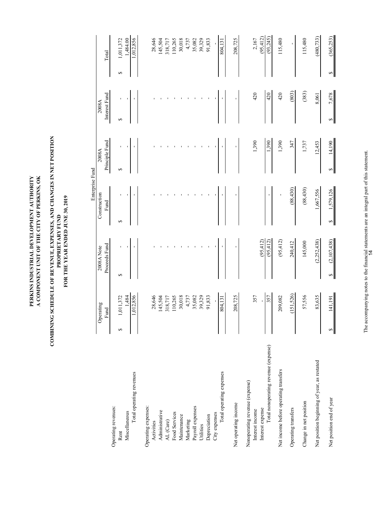PERKINS INDUSTRIAL DEVELOPMENT AUTHORITY<br>A COMPONENT UNIT OF THE CITY OF PERKINS, OK **PERKINS INDUSTRIAL DEVELOPMENT AUTHORITY A COMPONENT UNIT OF THE CITY OF PERKINS, OK**

# COMBINING SCHEDULE OF REVENUE, EXPENSES, AND CHANGES IN NET POSITION<br>PROPRIETARY FUND<br>FOR THE YEAR ENDED JUNE 30, 2019 **COMBINING SCHEDULE OF REVENUE, EXPENSES, AND CHANGES IN NET POSITION FOR THE YEAR ENDED JUNE 30, 2019 PROPRIETARY FUND**

|                                                          |                   |                             | Enterprise Fund      |                         |                        |                        |
|----------------------------------------------------------|-------------------|-----------------------------|----------------------|-------------------------|------------------------|------------------------|
|                                                          | Operating<br>Fund | Proceeds Fund<br>2008A Note | Construction<br>Fund | Principle Fund<br>2008A | Interest Fund<br>2008A | Total                  |
| Operating revenues:                                      | 1,011,372<br>5    | S                           | S                    | S                       | S                      | 1,011,372<br>S         |
| Miscellaneous<br>Rent                                    | 1,484             |                             |                      |                         | ٠                      | 1,484.00               |
| Total operating revenues                                 | 1,012,856         |                             |                      |                         |                        | 1,012,856              |
| Operating expenses:<br>Activities                        | 28,646            |                             |                      |                         |                        | 28,646                 |
| Administrative                                           | 145,504           |                             |                      |                         |                        | 145,504                |
| AL (Care)                                                | 318,717           |                             |                      |                         |                        | 318,717                |
| Food Services                                            | 110,265           |                             |                      |                         |                        | 110,265                |
| Maintenance                                              | 30,018            |                             |                      |                         |                        | 30,018                 |
| Marketing                                                | 4,737             |                             |                      |                         |                        | 4,737                  |
| Payroll expenses                                         | 35,082            |                             |                      |                         |                        | 35,082                 |
| Utilities                                                | 39,329            |                             |                      |                         |                        | 39,329                 |
| Depreciation                                             | 91,833            |                             |                      |                         |                        | 91,833                 |
| City expenses                                            | f,                |                             |                      |                         |                        |                        |
| Total operating expenses                                 | 804,131           |                             |                      |                         |                        | 804,131                |
| Net operating income                                     | 208,725           |                             |                      | ı                       | ı                      | 208,725                |
| Nonoperating revenue (expense)<br>Interest income        | 357               |                             |                      | 1,390                   | 420                    | 2,167                  |
| Total nonoperating revenue (expense)<br>Interest expense | 357<br>ı          | (95, 412)<br>(95, 412)      |                      | 1,390                   | 420                    | (95, 412)<br>(93,245)  |
| Net income before operating transfers                    | 209,082           | (95, 412)                   |                      | 1,390                   | 420                    | 115,480                |
| Operating transfers                                      | (151, 526)        | 240,412                     | (88, 430)            | 347                     | (803)                  |                        |
| Change in net position                                   | 57,556            | 145,000                     | (88, 430)            | 1,737                   | (383)                  | 115,480                |
| Net position beginning of year, as restated              | 83,635            | (2,252,438)                 | 1,667,556            | 12,453                  | 8,061                  | (480, 733)             |
| Net position end of year                                 | 141,191           | (2,107,438)<br>↔            | 1,579,126<br>↮       | 14,190<br>∽             | 7,678<br>↮             | (365, 253)<br>$\Theta$ |

The accompanying notes to the financial statements are an integral part of this statement. The accompanying notes to the financial statements are an integral part of this statement.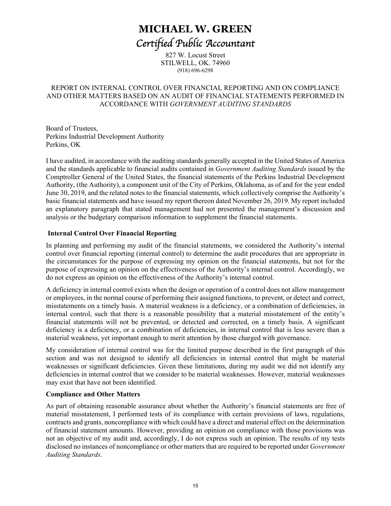# **MICHAEL W. GREEN** Certified Public Accountant

827 W. Locust Street STILWELL, OK. 74960 (918) 696-6298

#### REPORT ON INTERNAL CONTROL OVER FINANCIAL REPORTING AND ON COMPLIANCE AND OTHER MATTERS BASED ON AN AUDIT OF FINANCIAL STATEMENTS PERFORMED IN ACCORDANCE WITH *GOVERNMENT AUDITING STANDARDS*

Board of Trustees, Perkins Industrial Development Authority Perkins, OK

I have audited, in accordance with the auditing standards generally accepted in the United States of America and the standards applicable to financial audits contained in *Government Auditing Standards* issued by the Comptroller General of the United States, the financial statements of the Perkins Industrial Development Authority, (the Authority), a component unit of the City of Perkins, Oklahoma, as of and for the year ended June 30, 2019, and the related notes to the financial statements, which collectively comprise the Authority's basic financial statements and have issued my report thereon dated November 26, 2019. My report included an explanatory paragraph that stated management had not presented the management's discussion and analysis or the budgetary comparison information to supplement the financial statements.

#### **Internal Control Over Financial Reporting**

In planning and performing my audit of the financial statements, we considered the Authority's internal control over financial reporting (internal control) to determine the audit procedures that are appropriate in the circumstances for the purpose of expressing my opinion on the financial statements, but not for the purpose of expressing an opinion on the effectiveness of the Authority's internal control. Accordingly, we do not express an opinion on the effectiveness of the Authority's internal control.

A deficiency in internal control exists when the design or operation of a control does not allow management or employees, in the normal course of performing their assigned functions, to prevent, or detect and correct, misstatements on a timely basis. A material weakness is a deficiency, or a combination of deficiencies, in internal control, such that there is a reasonable possibility that a material misstatement of the entity's financial statements will not be prevented, or detected and corrected, on a timely basis. A significant deficiency is a deficiency, or a combination of deficiencies, in internal control that is less severe than a material weakness, yet important enough to merit attention by those charged with governance.

My consideration of internal control was for the limited purpose described in the first paragraph of this section and was not designed to identify all deficiencies in internal control that might be material weaknesses or significant deficiencies. Given these limitations, during my audit we did not identify any deficiencies in internal control that we consider to be material weaknesses. However, material weaknesses may exist that have not been identified.

#### **Compliance and Other Matters**

As part of obtaining reasonable assurance about whether the Authority's financial statements are free of material misstatement, I performed tests of its compliance with certain provisions of laws, regulations, contracts and grants, noncompliance with which could have a direct and material effect on the determination of financial statement amounts. However, providing an opinion on compliance with those provisions was not an objective of my audit and, accordingly, I do not express such an opinion. The results of my tests disclosed no instances of noncompliance or other matters that are required to be reported under *Government Auditing Standards*.